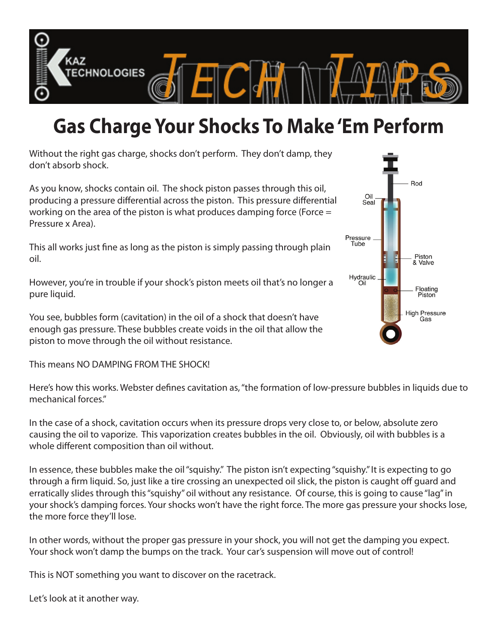

## **Gas Charge Your Shocks To Make 'Em Perform**

Without the right gas charge, shocks don't perform. They don't damp, they don't absorb shock.

As you know, shocks contain oil. The shock piston passes through this oil, producing a pressure differential across the piston. This pressure differential working on the area of the piston is what produces damping force (Force = Pressure x Area).

This all works just fine as long as the piston is simply passing through plain oil.

However, you're in trouble if your shock's piston meets oil that's no longer a pure liquid.

You see, bubbles form (cavitation) in the oil of a shock that doesn't have enough gas pressure. These bubbles create voids in the oil that allow the piston to move through the oil without resistance.

This means NO DAMPING FROM THE SHOCK!

Here's how this works. Webster defines cavitation as, "the formation of low-pressure bubbles in liquids due to mechanical forces."

In the case of a shock, cavitation occurs when its pressure drops very close to, or below, absolute zero causing the oil to vaporize. This vaporization creates bubbles in the oil. Obviously, oil with bubbles is a whole different composition than oil without.

In essence, these bubbles make the oil "squishy." The piston isn't expecting "squishy." It is expecting to go through a firm liquid. So, just like a tire crossing an unexpected oil slick, the piston is caught off guard and erratically slides through this "squishy" oil without any resistance. Of course, this is going to cause "lag" in your shock's damping forces. Your shocks won't have the right force. The more gas pressure your shocks lose, the more force they'll lose.

In other words, without the proper gas pressure in your shock, you will not get the damping you expect. Your shock won't damp the bumps on the track. Your car's suspension will move out of control!

This is NOT something you want to discover on the racetrack.

Let's look at it another way.

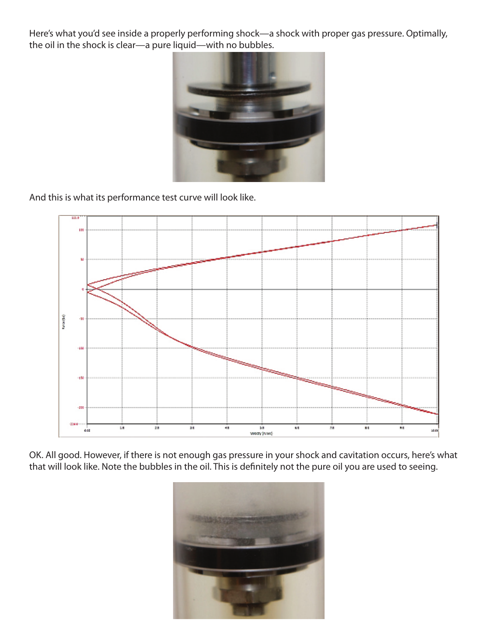Here's what you'd see inside a properly performing shock—a shock with proper gas pressure. Optimally, the oil in the shock is clear—a pure liquid—with no bubbles.



And this is what its performance test curve will look like.



OK. All good. However, if there is not enough gas pressure in your shock and cavitation occurs, here's what that will look like. Note the bubbles in the oil. This is definitely not the pure oil you are used to seeing.